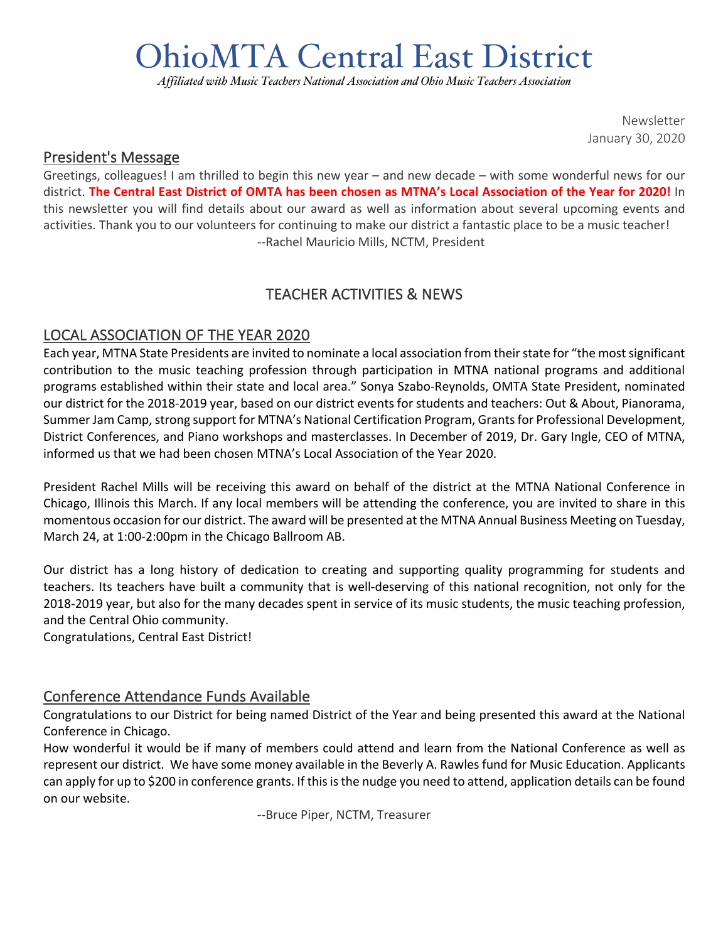# OhioMTA Central East District

*Affiliated with Music Teachers National Association and Ohio Music Teachers Association*

Newsletter January 30, 2020

#### President's Message

Greetings, colleagues! I am thrilled to begin this new year – and new decade – with some wonderful news for our district. **The Central East District of OMTA has been chosen as MTNA's Local Association of the Year for 2020!** In this newsletter you will find details about our award as well as information about several upcoming events and activities. Thank you to our volunteers for continuing to make our district a fantastic place to be a music teacher! --Rachel Mauricio Mills, NCTM, President

## TEACHER ACTIVITIES & NEWS

## LOCAL ASSOCIATION OF THE YEAR 2020

Each year, MTNA State Presidents are invited to nominate a local association from their state for "the most significant contribution to the music teaching profession through participation in MTNA national programs and additional programs established within their state and local area." Sonya Szabo-Reynolds, OMTA State President, nominated our district for the 2018-2019 year, based on our district events for students and teachers: Out & About, Pianorama, Summer Jam Camp, strong support for MTNA's National Certification Program, Grants for Professional Development, District Conferences, and Piano workshops and masterclasses. In December of 2019, Dr. Gary Ingle, CEO of MTNA, informed us that we had been chosen MTNA's Local Association of the Year 2020.

President Rachel Mills will be receiving this award on behalf of the district at the MTNA National Conference in Chicago, Illinois this March. If any local members will be attending the conference, you are invited to share in this momentous occasion for our district. The award will be presented at the MTNA Annual Business Meeting on Tuesday, March 24, at 1:00-2:00pm in the Chicago Ballroom AB.

Our district has a long history of dedication to creating and supporting quality programming for students and teachers. Its teachers have built a community that is well-deserving of this national recognition, not only for the 2018-2019 year, but also for the many decades spent in service of its music students, the music teaching profession, and the Central Ohio community.

Congratulations, Central East District!

#### Conference Attendance Funds Available

Congratulations to our District for being named District of the Year and being presented this award at the National Conference in Chicago.

How wonderful it would be if many of members could attend and learn from the National Conference as well as represent our district. We have some money available in the Beverly A. Rawles fund for Music Education. Applicants can apply for up to \$200 in conference grants. If this is the nudge you need to attend, application details can be found on our website.

--Bruce Piper, NCTM, Treasurer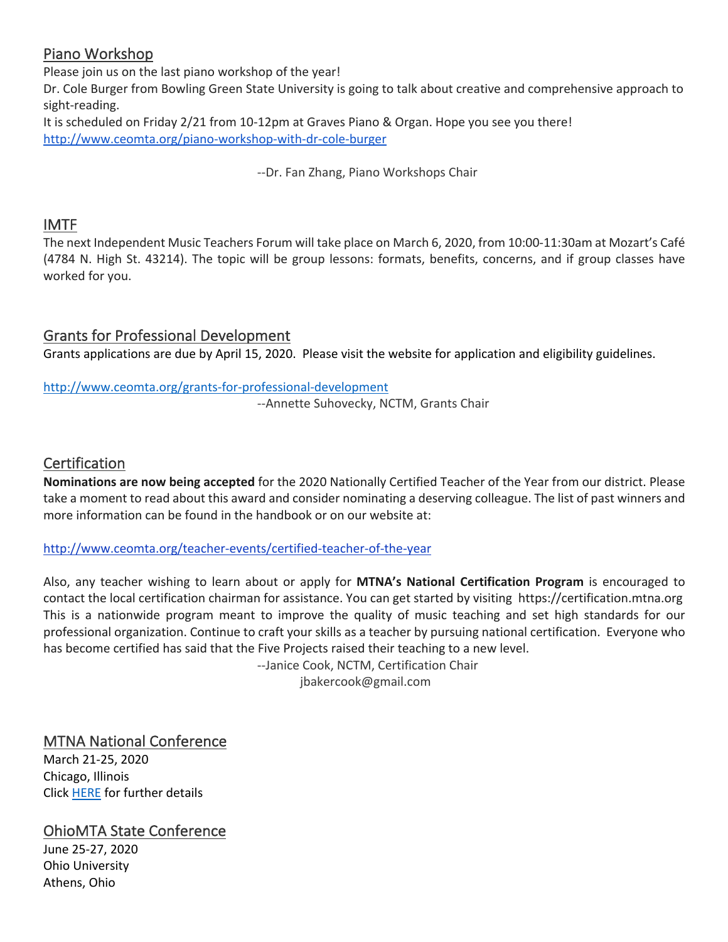## Piano Workshop

Please join us on the last piano workshop of the year! Dr. Cole Burger from Bowling Green State University is going to talk about creative and comprehensive approach to sight-reading.

It is scheduled on Friday 2/21 from 10-12pm at Graves Piano & Organ. Hope you see you there! http://www.ceomta.org/piano-workshop-with-dr-cole-burger

--Dr. Fan Zhang, Piano Workshops Chair

## IMTF

The next Independent Music Teachers Forum will take place on March 6, 2020, from 10:00-11:30am at Mozart's Café (4784 N. High St. 43214). The topic will be group lessons: formats, benefits, concerns, and if group classes have worked for you.

## Grants for Professional Development

Grants applications are due by April 15, 2020. Please visit the website for application and eligibility guidelines.

http://www.ceomta.org/grants-for-professional-development

--Annette Suhovecky, NCTM, Grants Chair

## **Certification**

**Nominations are now being accepted** for the 2020 Nationally Certified Teacher of the Year from our district. Please take a moment to read about this award and consider nominating a deserving colleague. The list of past winners and more information can be found in the handbook or on our website at:

#### http://www.ceomta.org/teacher-events/certified-teacher-of-the-year

Also, any teacher wishing to learn about or apply for **MTNA's National Certification Program** is encouraged to contact the local certification chairman for assistance. You can get started by visiting https://certification.mtna.org This is a nationwide program meant to improve the quality of music teaching and set high standards for our professional organization. Continue to craft your skills as a teacher by pursuing national certification. Everyone who has become certified has said that the Five Projects raised their teaching to a new level.

--Janice Cook, NCTM, Certification Chair jbakercook@gmail.com

## MTNA National Conference

March 21-25, 2020 Chicago, Illinois Click HERE for further details

## OhioMTA State Conference

June 25-27, 2020 Ohio University Athens, Ohio